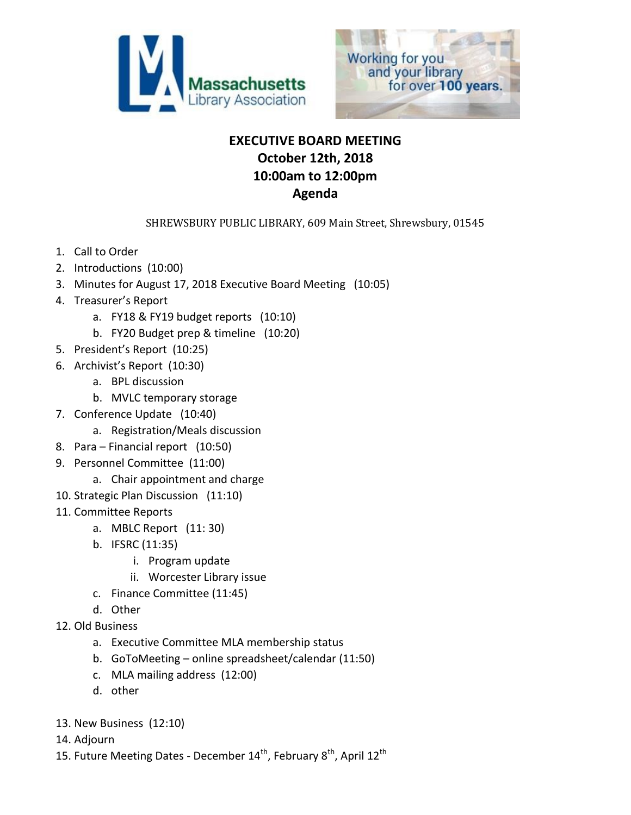



# **EXECUTIVE BOARD MEETING October 12th, 2018 10:00am to 12:00pm Agenda**

SHREWSBURY PUBLIC LIBRARY, 609 Main Street, Shrewsbury, 01545

- 1. Call to Order
- 2. Introductions (10:00)
- 3. Minutes for August 17, 2018 Executive Board Meeting (10:05)
- 4. Treasurer's Report
	- a. FY18 & FY19 budget reports (10:10)
	- b. FY20 Budget prep & timeline (10:20)
- 5. President's Report (10:25)
- 6. Archivist's Report (10:30)
	- a. BPL discussion
	- b. MVLC temporary storage
- 7. Conference Update (10:40)
	- a. Registration/Meals discussion
- 8. Para Financial report (10:50)
- 9. Personnel Committee (11:00)
	- a. Chair appointment and charge
- 10. Strategic Plan Discussion (11:10)
- 11. Committee Reports
	- a. MBLC Report (11: 30)
	- b. IFSRC (11:35)
		- i. Program update
		- ii. Worcester Library issue
	- c. Finance Committee (11:45)
	- d. Other
- 12. Old Business
	- a. Executive Committee MLA membership status
	- b. GoToMeeting online spreadsheet/calendar (11:50)
	- c. MLA mailing address (12:00)
	- d. other
- 13. New Business (12:10)
- 14. Adjourn
- 15. Future Meeting Dates December  $14^{th}$ , February  $8^{th}$ , April  $12^{th}$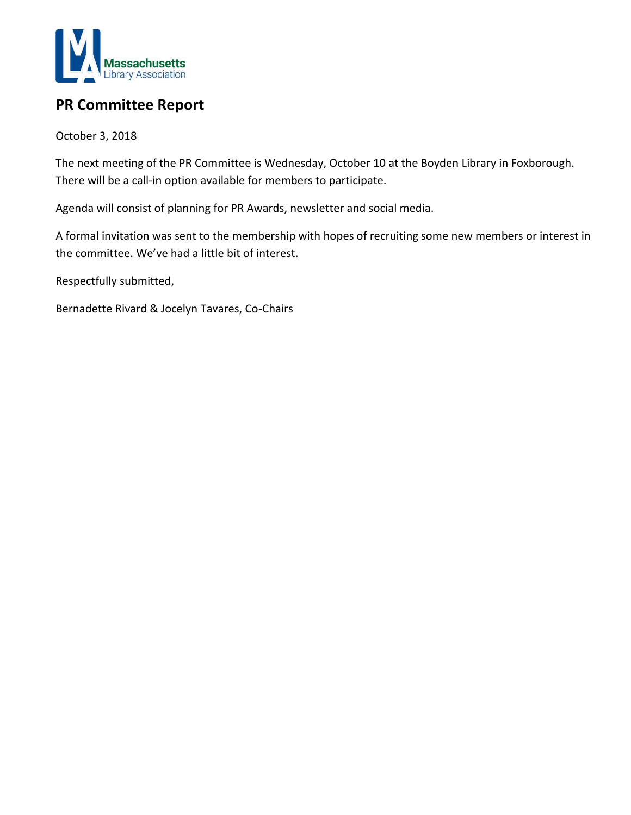

# **PR Committee Report**

October 3, 2018

The next meeting of the PR Committee is Wednesday, October 10 at the Boyden Library in Foxborough. There will be a call-in option available for members to participate.

Agenda will consist of planning for PR Awards, newsletter and social media.

A formal invitation was sent to the membership with hopes of recruiting some new members or interest in the committee. We've had a little bit of interest.

Respectfully submitted,

Bernadette Rivard & Jocelyn Tavares, Co-Chairs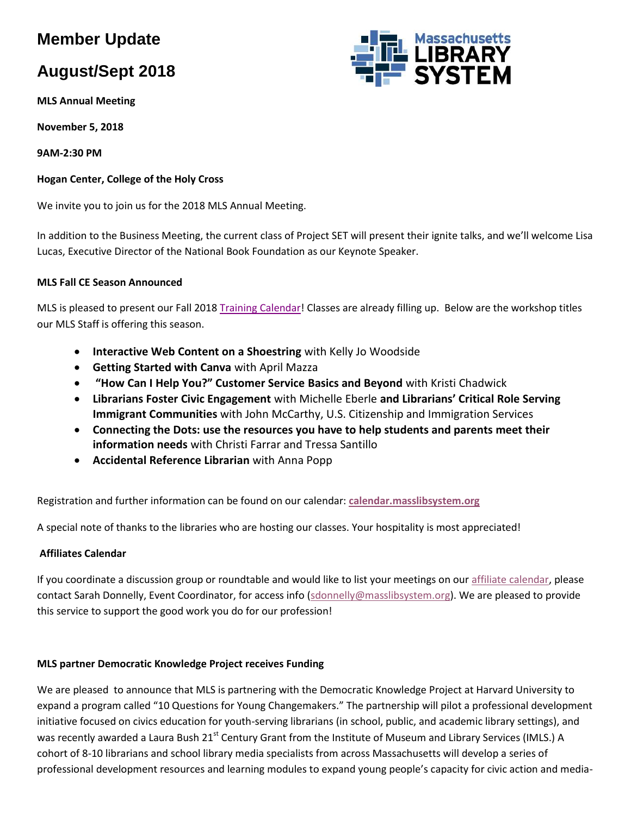# **Member Update**

# **August/Sept 2018**

**MLS Annual Meeting**

**November 5, 2018**

**9AM-2:30 PM**

### **Hogan Center, College of the Holy Cross**

We invite you to join us for the 2018 MLS Annual Meeting.

In addition to the Business Meeting, the current class of Project SET will present their ignite talks, and we'll welcome Lisa Lucas, Executive Director of the National Book Foundation as our Keynote Speaker.

### **MLS Fall CE Season Announced**

MLS is pleased to present our Fall 2018 [Training Calendar!](http://calendar.masslibsystem.org/) Classes are already filling up. Below are the workshop titles our MLS Staff is offering this season.

- **Interactive Web Content on a Shoestring** with Kelly Jo Woodside
- **Getting Started with Canva** with April Mazza
- **"How Can I Help You?" Customer Service Basics and Beyond** with Kristi Chadwick
- **Librarians Foster Civic Engagement** with Michelle Eberle **and Librarians' Critical Role Serving Immigrant Communities** with John McCarthy, U.S. Citizenship and Immigration Services
- **Connecting the Dots: use the resources you have to help students and parents meet their information needs** with Christi Farrar and Tressa Santillo
- **Accidental Reference Librarian** with Anna Popp

Registration and further information can be found on our calendar: **[calendar.masslibsystem.org](http://calendar.masslibsystem.org/)**

A special note of thanks to the libraries who are hosting our classes. Your hospitality is most appreciated!

#### **Affiliates Calendar**

If you coordinate a discussion group or roundtable and would like to list your meetings on our [affiliate calendar,](http://calendar.masslibsystem.org/calendar/affiliates/) please contact Sarah Donnelly, Event Coordinator, for access info [\(sdonnelly@masslibsystem.org\)](mailto:sdonnelly@masslibsystem.org). We are pleased to provide this service to support the good work you do for our profession!

#### **MLS partner Democratic Knowledge Project receives Funding**

We are pleased to announce that MLS is partnering with the Democratic Knowledge Project at Harvard University to expand a program called "10 Questions for Young Changemakers." The partnership will pilot a professional development initiative focused on civics education for youth-serving librarians (in school, public, and academic library settings), and was recently awarded a Laura Bush 21<sup>st</sup> Century Grant from the Institute of Museum and Library Services (IMLS.) A cohort of 8-10 librarians and school library media specialists from across Massachusetts will develop a series of professional development resources and learning modules to expand young people's capacity for civic action and media-

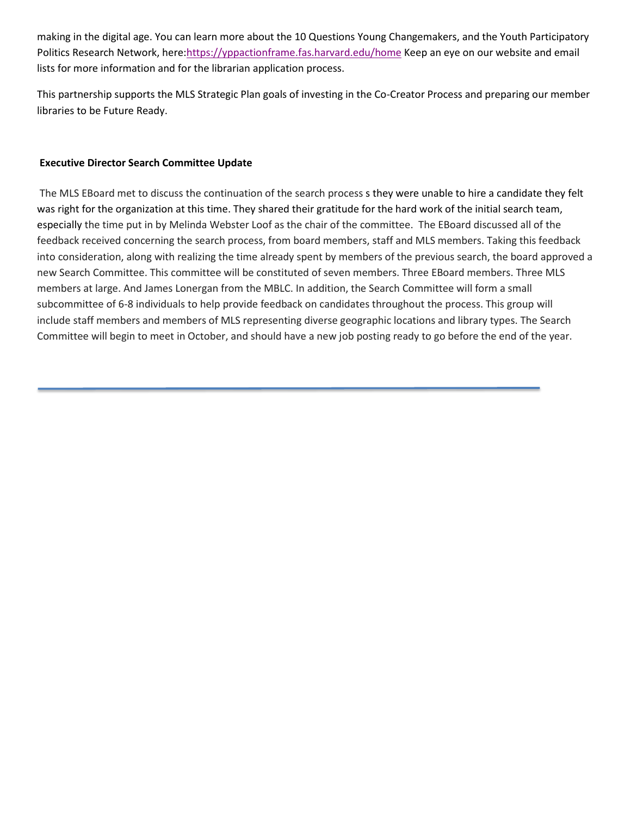making in the digital age. You can learn more about the 10 Questions Young Changemakers, and the Youth Participatory Politics Research Network, here[:https://yppactionframe.fas.harvard.edu/home](https://yppactionframe.fas.harvard.edu/home) Keep an eye on our website and email lists for more information and for the librarian application process.

This partnership supports the MLS Strategic Plan goals of investing in the Co-Creator Process and preparing our member libraries to be Future Ready.

#### **Executive Director Search Committee Update**

The MLS EBoard met to discuss the continuation of the search process s they were unable to hire a candidate they felt was right for the organization at this time. They shared their gratitude for the hard work of the initial search team, especially the time put in by Melinda Webster Loof as the chair of the committee. The EBoard discussed all of the feedback received concerning the search process, from board members, staff and MLS members. Taking this feedback into consideration, along with realizing the time already spent by members of the previous search, the board approved a new Search Committee. This committee will be constituted of seven members. Three EBoard members. Three MLS members at large. And James Lonergan from the MBLC. In addition, the Search Committee will form a small subcommittee of 6-8 individuals to help provide feedback on candidates throughout the process. This group will include staff members and members of MLS representing diverse geographic locations and library types. The Search Committee will begin to meet in October, and should have a new job posting ready to go before the end of the year.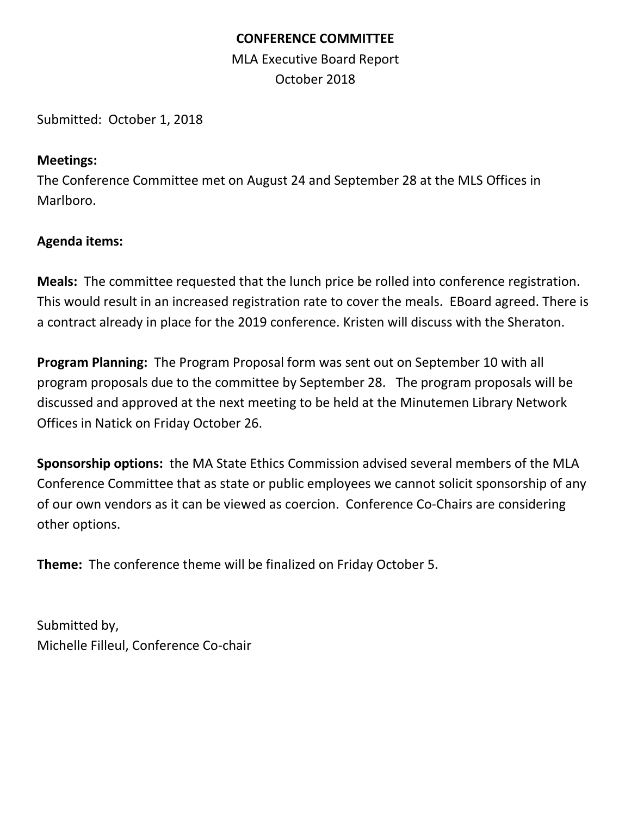# **CONFERENCE COMMITTEE**

MLA Executive Board Report October 2018

Submitted: October 1, 2018

# **Meetings:**

The Conference Committee met on August 24 and September 28 at the MLS Offices in Marlboro.

# **Agenda items:**

**Meals:** The committee requested that the lunch price be rolled into conference registration. This would result in an increased registration rate to cover the meals. EBoard agreed. There is a contract already in place for the 2019 conference. Kristen will discuss with the Sheraton.

**Program Planning:** The Program Proposal form was sent out on September 10 with all program proposals due to the committee by September 28. The program proposals will be discussed and approved at the next meeting to be held at the Minutemen Library Network Offices in Natick on Friday October 26.

**Sponsorship options:** the MA State Ethics Commission advised several members of the MLA Conference Committee that as state or public employees we cannot solicit sponsorship of any of our own vendors as it can be viewed as coercion. Conference Co-Chairs are considering other options.

**Theme:** The conference theme will be finalized on Friday October 5.

Submitted by, Michelle Filleul, Conference Co-chair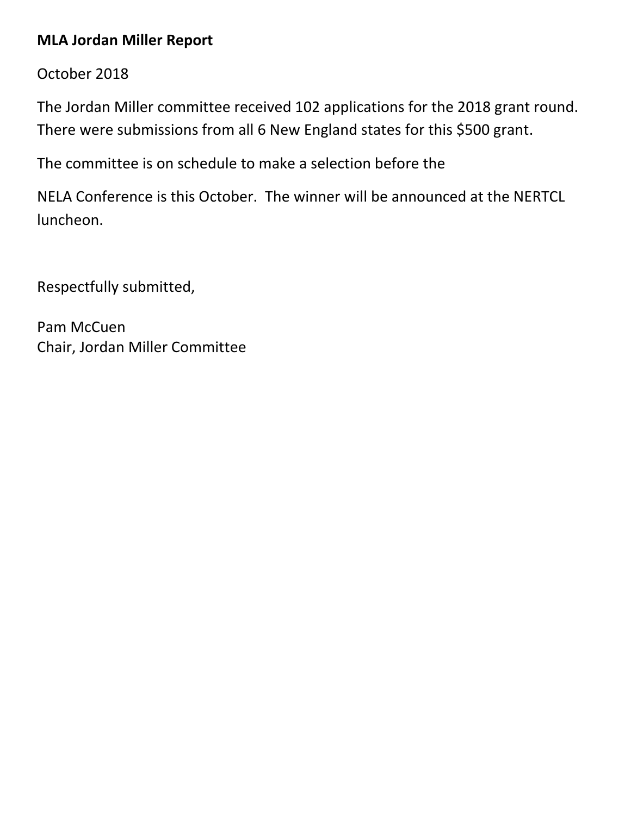# **MLA Jordan Miller Report**

October 2018

The Jordan Miller committee received 102 applications for the 2018 grant round. There were submissions from all 6 New England states for this \$500 grant.

The committee is on schedule to make a selection before the

NELA Conference is this October. The winner will be announced at the NERTCL luncheon.

Respectfully submitted,

Pam McCuen Chair, Jordan Miller Committee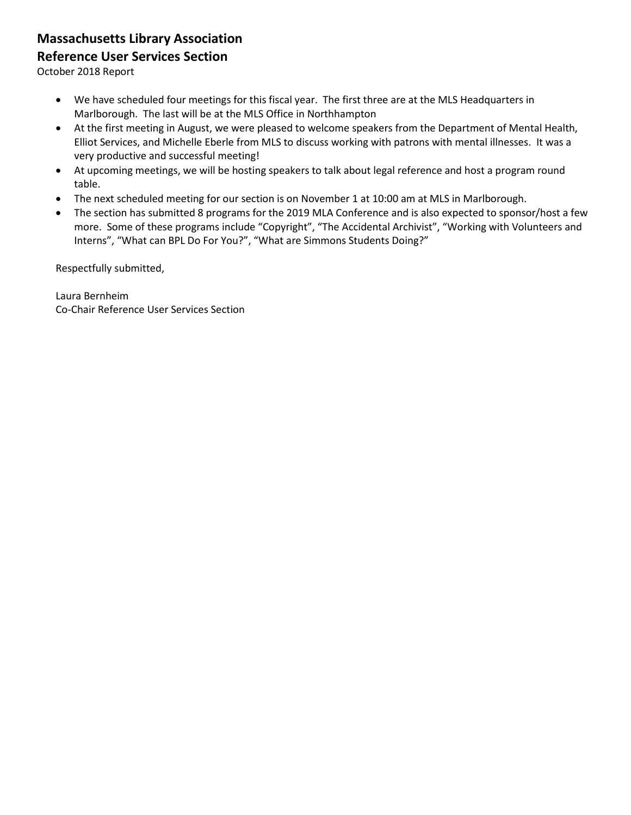# **Massachusetts Library Association**

## **Reference User Services Section**

October 2018 Report

- We have scheduled four meetings for this fiscal year. The first three are at the MLS Headquarters in Marlborough. The last will be at the MLS Office in Northhampton
- At the first meeting in August, we were pleased to welcome speakers from the Department of Mental Health, Elliot Services, and Michelle Eberle from MLS to discuss working with patrons with mental illnesses. It was a very productive and successful meeting!
- At upcoming meetings, we will be hosting speakers to talk about legal reference and host a program round table.
- The next scheduled meeting for our section is on November 1 at 10:00 am at MLS in Marlborough.
- The section has submitted 8 programs for the 2019 MLA Conference and is also expected to sponsor/host a few more. Some of these programs include "Copyright", "The Accidental Archivist", "Working with Volunteers and Interns", "What can BPL Do For You?", "What are Simmons Students Doing?"

Respectfully submitted,

Laura Bernheim Co-Chair Reference User Services Section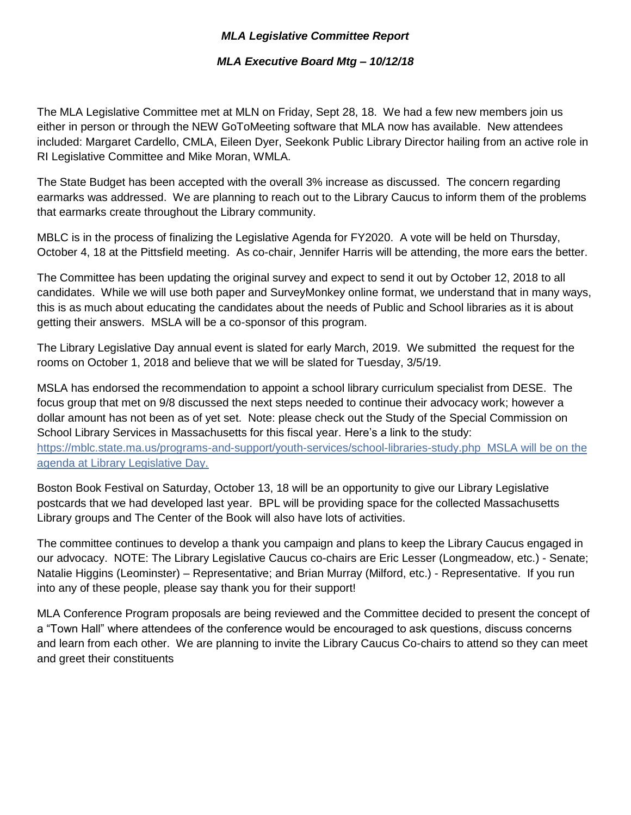## *MLA Legislative Committee Report*

## *MLA Executive Board Mtg – 10/12/18*

The MLA Legislative Committee met at MLN on Friday, Sept 28, 18. We had a few new members join us either in person or through the NEW GoToMeeting software that MLA now has available. New attendees included: Margaret Cardello, CMLA, Eileen Dyer, Seekonk Public Library Director hailing from an active role in RI Legislative Committee and Mike Moran, WMLA.

The State Budget has been accepted with the overall 3% increase as discussed. The concern regarding earmarks was addressed. We are planning to reach out to the Library Caucus to inform them of the problems that earmarks create throughout the Library community.

MBLC is in the process of finalizing the Legislative Agenda for FY2020. A vote will be held on Thursday, October 4, 18 at the Pittsfield meeting. As co-chair, Jennifer Harris will be attending, the more ears the better.

The Committee has been updating the original survey and expect to send it out by October 12, 2018 to all candidates. While we will use both paper and SurveyMonkey online format, we understand that in many ways, this is as much about educating the candidates about the needs of Public and School libraries as it is about getting their answers. MSLA will be a co-sponsor of this program.

The Library Legislative Day annual event is slated for early March, 2019. We submitted the request for the rooms on October 1, 2018 and believe that we will be slated for Tuesday, 3/5/19.

MSLA has endorsed the recommendation to appoint a school library curriculum specialist from DESE. The focus group that met on 9/8 discussed the next steps needed to continue their advocacy work; however a dollar amount has not been as of yet set. Note: please check out the Study of the Special Commission on School Library Services in Massachusetts for this fiscal year. Here's a link to the study: <https://mblc.state.ma.us/programs-and-support/youth-services/school-libraries-study.php>MSLA will be on the agenda at Library Legislative Day.

Boston Book Festival on Saturday, October 13, 18 will be an opportunity to give our Library Legislative postcards that we had developed last year. BPL will be providing space for the collected Massachusetts Library groups and The Center of the Book will also have lots of activities.

The committee continues to develop a thank you campaign and plans to keep the Library Caucus engaged in our advocacy. NOTE: The Library Legislative Caucus co-chairs are Eric Lesser (Longmeadow, etc.) - Senate; Natalie Higgins (Leominster) – Representative; and Brian Murray (Milford, etc.) - Representative. If you run into any of these people, please say thank you for their support!

MLA Conference Program proposals are being reviewed and the Committee decided to present the concept of a "Town Hall" where attendees of the conference would be encouraged to ask questions, discuss concerns and learn from each other. We are planning to invite the Library Caucus Co-chairs to attend so they can meet and greet their constituents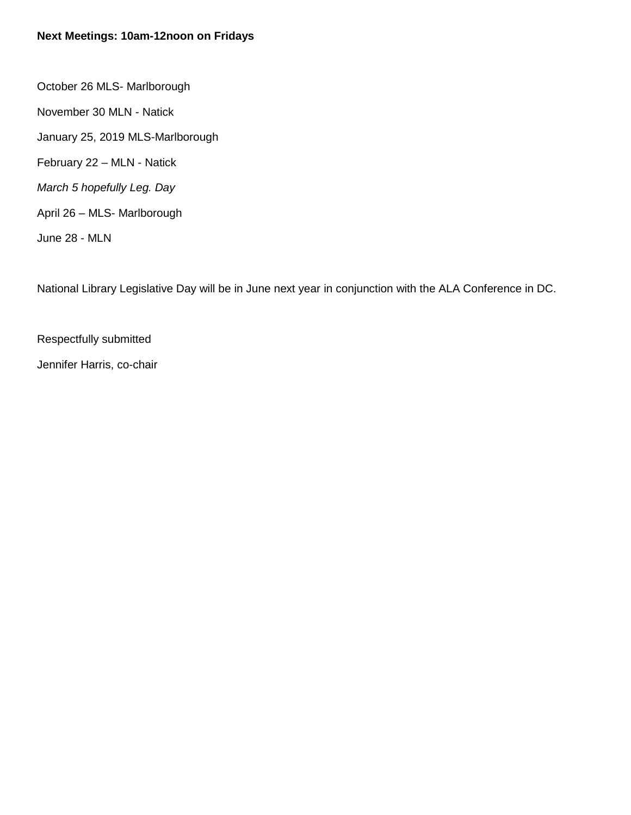## **Next Meetings: 10am-12noon on Fridays**

October 26 MLS- Marlborough November 30 MLN - Natick January 25, 2019 MLS-Marlborough February 22 – MLN - Natick *March 5 hopefully Leg. Day* April 26 – MLS- Marlborough June 28 - MLN

National Library Legislative Day will be in June next year in conjunction with the ALA Conference in DC.

Respectfully submitted

Jennifer Harris, co-chair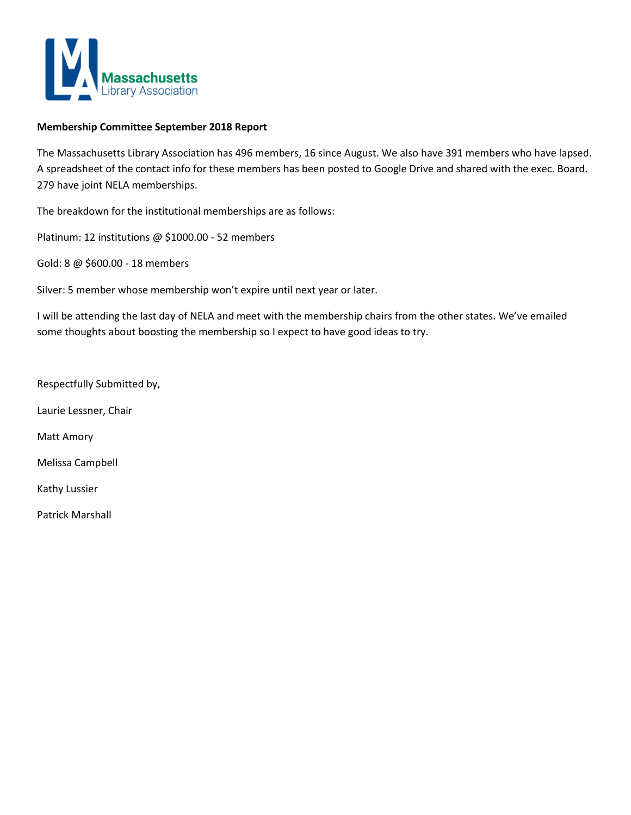

#### **Membership Committee September 2018 Report**

The Massachusetts Library Association has 496 members, 16 since August. We also have 391 members who have lapsed. A spreadsheet of the contact info for these members has been posted to Google Drive and shared with the exec. Board. 279 have joint NELA memberships.

The breakdown for the institutional memberships are as follows:

Platinum: 12 institutions @ \$1000.00 - 52 members

Gold: 8 @ \$600.00 - 18 members

Silver: 5 member whose membership won't expire until next year or later.

I will be attending the last day of NELA and meet with the membership chairs from the other states. We've emailed some thoughts about boosting the membership so I expect to have good ideas to try.

Respectfully Submitted by,

Laurie Lessner, Chair

Matt Amory

Melissa Campbell

Kathy Lussier

Patrick Marshall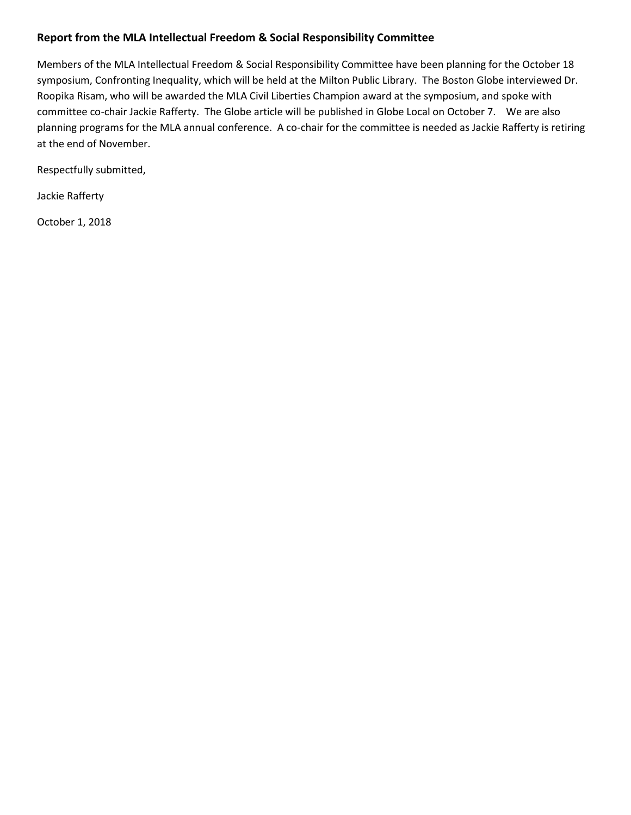## **Report from the MLA Intellectual Freedom & Social Responsibility Committee**

Members of the MLA Intellectual Freedom & Social Responsibility Committee have been planning for the October 18 symposium, Confronting Inequality, which will be held at the Milton Public Library. The Boston Globe interviewed Dr. Roopika Risam, who will be awarded the MLA Civil Liberties Champion award at the symposium, and spoke with committee co-chair Jackie Rafferty. The Globe article will be published in Globe Local on October 7. We are also planning programs for the MLA annual conference. A co-chair for the committee is needed as Jackie Rafferty is retiring at the end of November.

Respectfully submitted,

Jackie Rafferty

October 1, 2018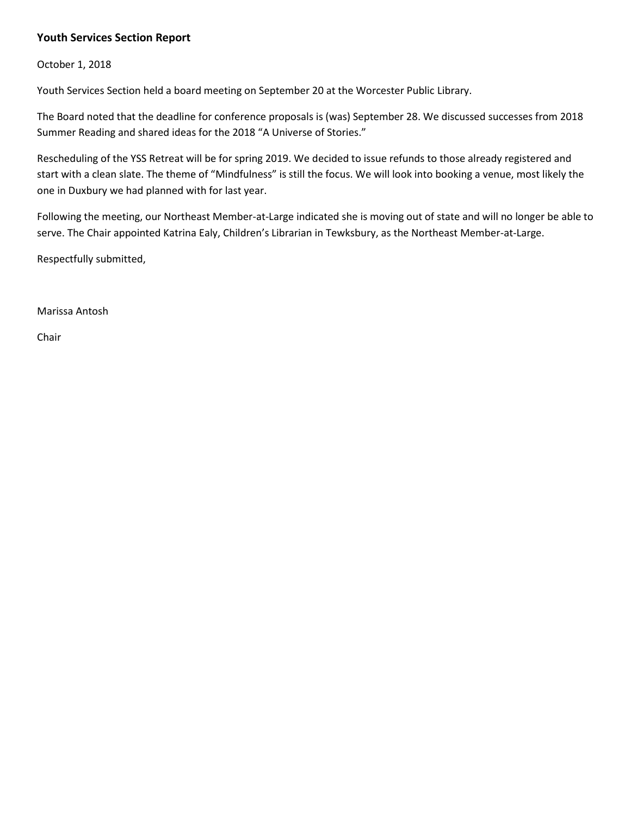### **Youth Services Section Report**

October 1, 2018

Youth Services Section held a board meeting on September 20 at the Worcester Public Library.

The Board noted that the deadline for conference proposals is (was) September 28. We discussed successes from 2018 Summer Reading and shared ideas for the 2018 "A Universe of Stories."

Rescheduling of the YSS Retreat will be for spring 2019. We decided to issue refunds to those already registered and start with a clean slate. The theme of "Mindfulness" is still the focus. We will look into booking a venue, most likely the one in Duxbury we had planned with for last year.

Following the meeting, our Northeast Member-at-Large indicated she is moving out of state and will no longer be able to serve. The Chair appointed Katrina Ealy, Children's Librarian in Tewksbury, as the Northeast Member-at-Large.

Respectfully submitted,

Marissa Antosh

Chair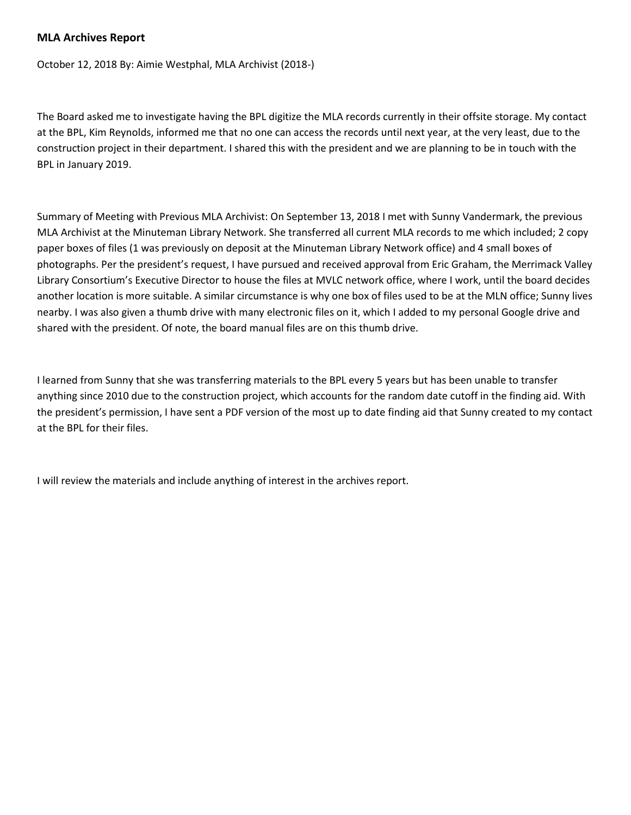### **MLA Archives Report**

October 12, 2018 By: Aimie Westphal, MLA Archivist (2018-)

The Board asked me to investigate having the BPL digitize the MLA records currently in their offsite storage. My contact at the BPL, Kim Reynolds, informed me that no one can access the records until next year, at the very least, due to the construction project in their department. I shared this with the president and we are planning to be in touch with the BPL in January 2019.

Summary of Meeting with Previous MLA Archivist: On September 13, 2018 I met with Sunny Vandermark, the previous MLA Archivist at the Minuteman Library Network. She transferred all current MLA records to me which included; 2 copy paper boxes of files (1 was previously on deposit at the Minuteman Library Network office) and 4 small boxes of photographs. Per the president's request, I have pursued and received approval from Eric Graham, the Merrimack Valley Library Consortium's Executive Director to house the files at MVLC network office, where I work, until the board decides another location is more suitable. A similar circumstance is why one box of files used to be at the MLN office; Sunny lives nearby. I was also given a thumb drive with many electronic files on it, which I added to my personal Google drive and shared with the president. Of note, the board manual files are on this thumb drive.

I learned from Sunny that she was transferring materials to the BPL every 5 years but has been unable to transfer anything since 2010 due to the construction project, which accounts for the random date cutoff in the finding aid. With the president's permission, I have sent a PDF version of the most up to date finding aid that Sunny created to my contact at the BPL for their files.

I will review the materials and include anything of interest in the archives report.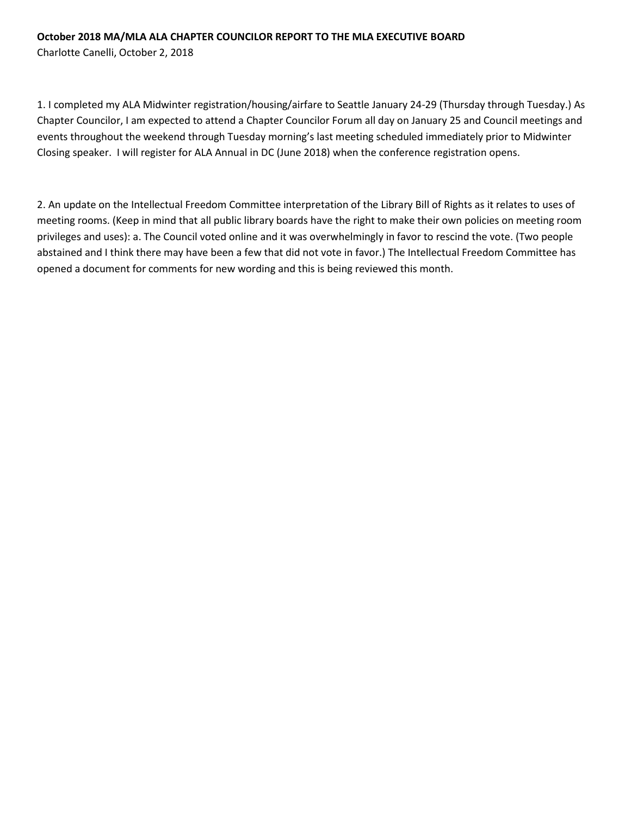### **October 2018 MA/MLA ALA CHAPTER COUNCILOR REPORT TO THE MLA EXECUTIVE BOARD**

Charlotte Canelli, October 2, 2018

1. I completed my ALA Midwinter registration/housing/airfare to Seattle January 24-29 (Thursday through Tuesday.) As Chapter Councilor, I am expected to attend a Chapter Councilor Forum all day on January 25 and Council meetings and events throughout the weekend through Tuesday morning's last meeting scheduled immediately prior to Midwinter Closing speaker. I will register for ALA Annual in DC (June 2018) when the conference registration opens.

2. An update on the Intellectual Freedom Committee interpretation of the Library Bill of Rights as it relates to uses of meeting rooms. (Keep in mind that all public library boards have the right to make their own policies on meeting room privileges and uses): a. The Council voted online and it was overwhelmingly in favor to rescind the vote. (Two people abstained and I think there may have been a few that did not vote in favor.) The Intellectual Freedom Committee has opened a document for comments for new wording and this is being reviewed this month.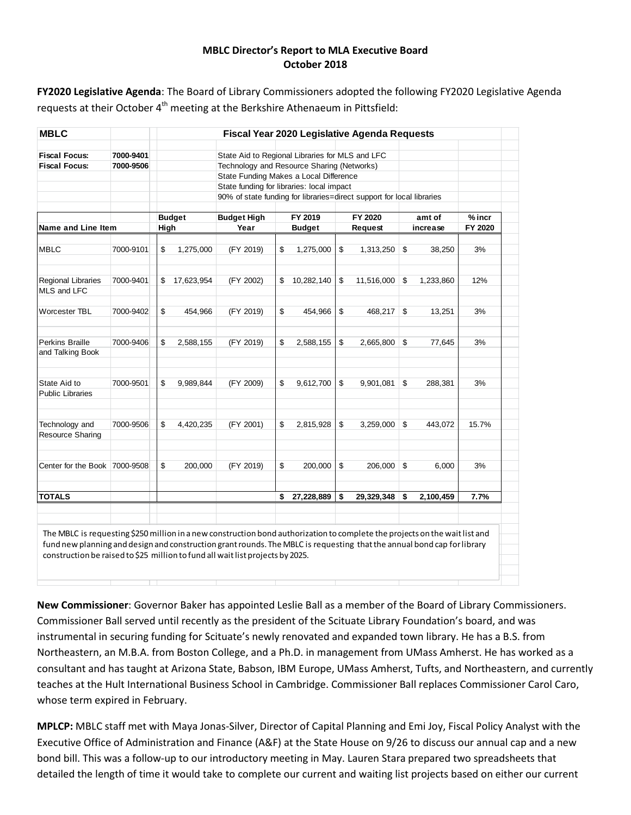### **MBLC Director's Report to MLA Executive Board October 2018**

**FY2020 Legislative Agenda**: The Board of Library Commissioners adopted the following FY2020 Legislative Agenda requests at their October  $4<sup>th</sup>$  meeting at the Berkshire Athenaeum in Pittsfield:

|                               | <b>Fiscal Year 2020 Legislative Agenda Requests</b> |            |                                                                                                                                                                                      |      |            |               |            |         |           |                                                                                   |
|-------------------------------|-----------------------------------------------------|------------|--------------------------------------------------------------------------------------------------------------------------------------------------------------------------------------|------|------------|---------------|------------|---------|-----------|-----------------------------------------------------------------------------------|
| 7000-9401<br>7000-9506        |                                                     |            | State Aid to Regional Libraries for MLS and LFC<br>Technology and Resource Sharing (Networks)<br>State Funding Makes a Local Difference<br>State funding for libraries: local impact |      |            |               |            |         |           |                                                                                   |
|                               | <b>Budget</b>                                       |            | <b>Budget High</b>                                                                                                                                                                   |      | FY 2019    |               | FY 2020    |         | amt of    | $%$ incr<br>FY 2020                                                               |
|                               |                                                     |            |                                                                                                                                                                                      |      |            |               |            |         |           |                                                                                   |
| 7000-9101                     | \$                                                  | 1,275,000  | (FY 2019)                                                                                                                                                                            | \$   | 1,275,000  | \$            | 1,313,250  | \$      | 38,250    | 3%                                                                                |
| 7000-9401                     | \$                                                  | 17,623,954 | (FY 2002)                                                                                                                                                                            | \$   | 10,282,140 | \$            | 11,516,000 | \$      | 1,233,860 | 12%                                                                               |
| 7000-9402                     | \$                                                  | 454,966    | (FY 2019)                                                                                                                                                                            | \$   | 454,966    | \$            | 468,217    | \$      | 13,251    | 3%                                                                                |
| 7000-9406                     | \$                                                  | 2,588,155  | (FY 2019)                                                                                                                                                                            | \$   | 2,588,155  | \$            | 2,665,800  | \$      | 77,645    | 3%                                                                                |
| 7000-9501                     | \$                                                  | 9,989,844  | (FY 2009)                                                                                                                                                                            | \$   | 9,612,700  | \$            | 9,901,081  | \$      | 288,381   | 3%                                                                                |
| 7000-9506                     | \$                                                  | 4,420,235  | (FY 2001)                                                                                                                                                                            | \$   | 2,815,928  | \$            | 3,259,000  | \$      | 443,072   | 15.7%                                                                             |
|                               |                                                     |            |                                                                                                                                                                                      |      |            |               |            |         |           |                                                                                   |
| Center for the Book 7000-9508 | \$                                                  | 200,000    | (FY 2019)                                                                                                                                                                            | \$   | 200,000    | \$            | 206,000    | \$      | 6,000     | 3%                                                                                |
|                               |                                                     |            |                                                                                                                                                                                      | \$   | 27,228,889 | \$            | 29,329,348 | \$      | 2,100,459 | 7.7%                                                                              |
|                               | <b>Name and Line Item</b>                           |            | High                                                                                                                                                                                 | Year |            | <b>Budget</b> |            | Request |           | 90% of state funding for libraries=direct support for local libraries<br>increase |

**New Commissioner**: Governor Baker has appointed Leslie Ball as a member of the Board of Library Commissioners. Commissioner Ball served until recently as the president of the Scituate Library Foundation's board, and was instrumental in securing funding for Scituate's newly renovated and expanded town library. He has a B.S. from Northeastern, an M.B.A. from Boston College, and a Ph.D. in management from UMass Amherst. He has worked as a consultant and has taught at Arizona State, Babson, IBM Europe, UMass Amherst, Tufts, and Northeastern, and currently teaches at the Hult International Business School in Cambridge. Commissioner Ball replaces Commissioner Carol Caro, whose term expired in February.

**MPLCP:** MBLC staff met with Maya Jonas-Silver, Director of Capital Planning and Emi Joy, Fiscal Policy Analyst with the Executive Office of Administration and Finance (A&F) at the State House on 9/26 to discuss our annual cap and a new bond bill. This was a follow-up to our introductory meeting in May. Lauren Stara prepared two spreadsheets that detailed the length of time it would take to complete our current and waiting list projects based on either our current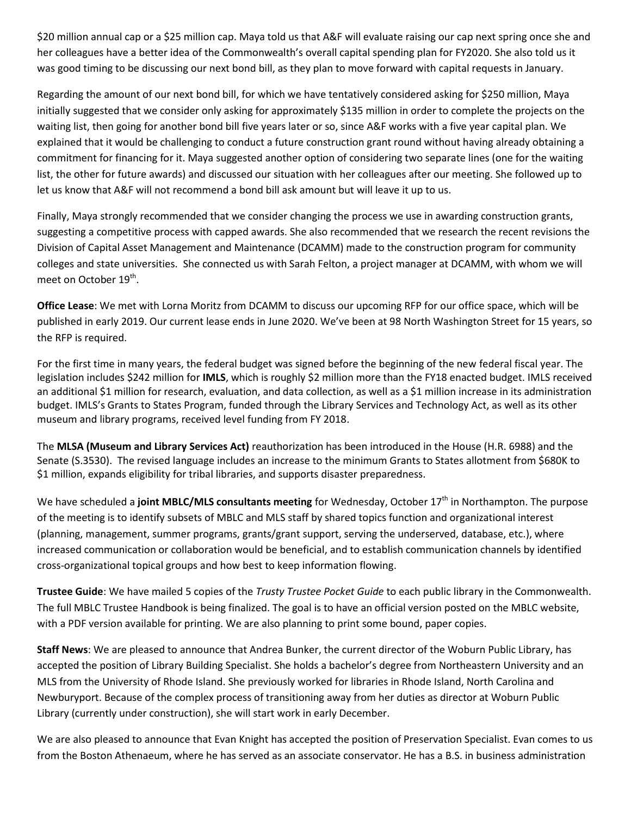\$20 million annual cap or a \$25 million cap. Maya told us that A&F will evaluate raising our cap next spring once she and her colleagues have a better idea of the Commonwealth's overall capital spending plan for FY2020. She also told us it was good timing to be discussing our next bond bill, as they plan to move forward with capital requests in January.

Regarding the amount of our next bond bill, for which we have tentatively considered asking for \$250 million, Maya initially suggested that we consider only asking for approximately \$135 million in order to complete the projects on the waiting list, then going for another bond bill five years later or so, since A&F works with a five year capital plan. We explained that it would be challenging to conduct a future construction grant round without having already obtaining a commitment for financing for it. Maya suggested another option of considering two separate lines (one for the waiting list, the other for future awards) and discussed our situation with her colleagues after our meeting. She followed up to let us know that A&F will not recommend a bond bill ask amount but will leave it up to us.

Finally, Maya strongly recommended that we consider changing the process we use in awarding construction grants, suggesting a competitive process with capped awards. She also recommended that we research the recent revisions the Division of Capital Asset Management and Maintenance (DCAMM) made to the construction program for community colleges and state universities. She connected us with Sarah Felton, a project manager at DCAMM, with whom we will meet on October 19<sup>th</sup>.

**Office Lease**: We met with Lorna Moritz from DCAMM to discuss our upcoming RFP for our office space, which will be published in early 2019. Our current lease ends in June 2020. We've been at 98 North Washington Street for 15 years, so the RFP is required.

For the first time in many years, the federal budget was signed before the beginning of the new federal fiscal year. The legislation includes \$242 million for **IMLS**, which is roughly \$2 million more than the FY18 enacted budget. IMLS received an additional \$1 million for research, evaluation, and data collection, as well as a \$1 million increase in its administration budget. IMLS's Grants to States Program, funded through the Library Services and Technology Act, as well as its other museum and library programs, received level funding from FY 2018.

The **MLSA (Museum and Library Services Act)** reauthorization has been introduced in the House (H.R. 6988) and the Senate (S.3530). The revised language includes an increase to the minimum Grants to States allotment from \$680K to \$1 million, expands eligibility for tribal libraries, and supports disaster preparedness.

We have scheduled a **joint MBLC/MLS consultants meeting** for Wednesday, October 17<sup>th</sup> in Northampton. The purpose of the meeting is to identify subsets of MBLC and MLS staff by shared topics function and organizational interest (planning, management, summer programs, grants/grant support, serving the underserved, database, etc.), where increased communication or collaboration would be beneficial, and to establish communication channels by identified cross-organizational topical groups and how best to keep information flowing.

**Trustee Guide**: We have mailed 5 copies of the *Trusty Trustee Pocket Guide* to each public library in the Commonwealth. The full MBLC Trustee Handbook is being finalized. The goal is to have an official version posted on the MBLC website, with a PDF version available for printing. We are also planning to print some bound, paper copies.

**Staff News**: We are pleased to announce that Andrea Bunker, the current director of the Woburn Public Library, has accepted the position of Library Building Specialist. She holds a bachelor's degree from Northeastern University and an MLS from the University of Rhode Island. She previously worked for libraries in Rhode Island, North Carolina and Newburyport. Because of the complex process of transitioning away from her duties as director at Woburn Public Library (currently under construction), she will start work in early December.

We are also pleased to announce that Evan Knight has accepted the position of Preservation Specialist. Evan comes to us from the Boston Athenaeum, where he has served as an associate conservator. He has a B.S. in business administration